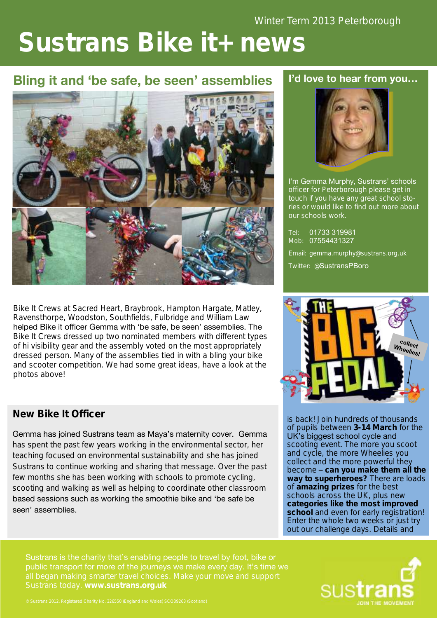# **Sustrans Bike it+ news**

# **Bling it and 'be safe, be seen' assemblies**



Bike It Crews at Sacred Heart, Braybrook, Hampton Hargate, Matley, Ravensthorpe, Woodston, Southfields, Fulbridge and William Law helped Bike it officer Gemma with 'be safe, be seen' assemblies. The Bike It Crews dressed up two nominated members with different types of hi visibility gear and the assembly voted on the most appropriately dressed person. Many of the assemblies tied in with a bling your bike and scooter competition. We had some great ideas, have a look at the photos above!

#### **New Bike It Officer**

Gemma has joined Sustrans team as Maya's maternity cover. Gemma has spent the past few years working in the environmental sector, her teaching focused on environmental sustainability and she has joined Sustrans to continue working and sharing that message. Over the past few months she has been working with schools to promote cycling, scooting and walking as well as helping to coordinate other classroom based sessions such as working the smoothie bike and 'be safe be seen' assemblies.

Sustrans is the charity that's enabling people to travel by foot, bike or public transport for more of the journeys we make every day. It's time we

#### **I'd love to hear from you…**



I'm Gemma Murphy, Sustrans' schools officer for Peterborough please get in touch if you have any great school stories or would like to find out more about our schools work.

Tel: 01733 319981 Mob: 07554431327 Email: gemma.murphy@sustrans.org.uk

Twitter: @SustransPBoro



is back! Join hundreds of thousands of pupils between **3-14 March** for the UK's biggest school cycle and scooting event. The more you scoot and cycle, the more Wheelies you collect and the more powerful they become – **can you make them all the way to superheroes?** There are loads of **amazing prizes** for the best schools across the UK, plus new **categories like the most improved school** and even for early registration! Enter the whole two weeks or just try out our challenge days. Details and

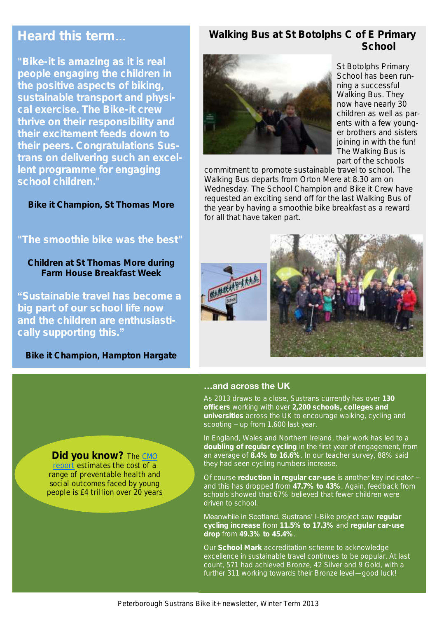# **Heard this term…**

**"Bike-it is amazing as it is real people engaging the children in the positive aspects of biking, sustainable transport and physical exercise. The Bike-it crew thrive on their responsibility and their excitement feeds down to their peers. Congratulations Sustrans on delivering such an excellent programme for engaging school children."** 

**Bike it Champion, St Thomas More**

#### **"The smoothie bike was the best"**

**Children at St Thomas More during Farm House Breakfast Week**

**"Sustainable travel has become a big part of our school life now and the children are enthusiastically supporting this."** 

**Bike it Champion, Hampton Hargate**

#### **Walking Bus at St Botolphs C of E Primary School**



St Botolphs Primary School has been running a successful Walking Bus. They now have nearly 30 children as well as parents with a few younger brothers and sisters joining in with the fun! The Walking Bus is part of the schools

commitment to promote sustainable travel to school. The Walking Bus departs from Orton Mere at 8.30 am on Wednesday. The School Champion and Bike it Crew have requested an exciting send off for the last Walking Bus of the year by having a smoothie bike breakfast as a reward for all that have taken part.





#### **…and across the UK**

As 2013 draws to a close, Sustrans currently has over **130 officers** working with over **2,200 schools, colleges and universities** across the UK to encourage walking, cycling and scooting – up from 1,600 last year.

In England, Wales and Northern Ireland, their work has led to a **doubling of regular cycling** in the first year of engagement, from an average of **8.4% to 16.6%**. In our teacher survey, 88% said they had seen cycling numbers increase.

Of course **reduction in regular car-use** is another key indicator – and this has dropped from **47.7% to 43%**. Again, feedback from schools showed that 67% believed that fewer children were driven to school.

Meanwhile in Scotland, Sustrans' I-Bike project saw **regular cycling increase** from **11.5% to 17.3%** and **regular car-use drop** from **49.3% to 45.4%**.

Our **School Mark** accreditation scheme to acknowledge excellence in sustainable travel continues to be popular. At last count, 571 had achieved Bronze, 42 Silver and 9 Gold, with a further 311 working towards their Bronze level—good luck!

**Did you know?** The CMO [report](http://www.bhfactive.org.uk/news-item/214/index.html) estimates the cost of a range of preventable health and social outcomes faced by young people is £4 trillion over 20 years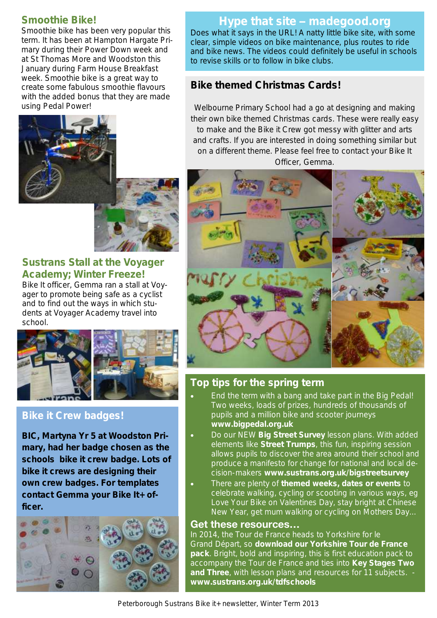#### **Smoothie Bike!**

Smoothie bike has been very popular this term. It has been at Hampton Hargate Primary during their Power Down week and at St Thomas More and Woodston this January during Farm House Breakfast week. Smoothie bike is a great way to create some fabulous smoothie flavours with the added bonus that they are made using Pedal Power!



#### **Sustrans Stall at the Voyager Academy; Winter Freeze!**

Bike It officer, Gemma ran a stall at Voyager to promote being safe as a cyclist and to find out the ways in which students at Voyager Academy travel into school.



#### **Bike it Crew badges!**

**BIC, Martyna Yr 5 at Woodston Primary, had her badge chosen as the schools bike it crew badge. Lots of bike it crews are designing their own crew badges. For templates contact Gemma your Bike It+ officer.** 



#### **Hype that site – madegood.org**

Does what it says in the URL! A natty little bike site, with some clear, simple videos on bike maintenance, plus routes to ride and bike news. The videos could definitely be useful in schools to revise skills or to follow in bike clubs.

#### **Bike themed Christmas Cards!**

Welbourne Primary School had a go at designing and making their own bike themed Christmas cards. These were really easy to make and the Bike it Crew got messy with glitter and arts and crafts. If you are interested in doing something similar but on a different theme. Please feel free to contact your Bike It Officer, Gemma.



## **Top tips for the spring term**

- End the term with a bang and take part in the Big Pedal! Two weeks, loads of prizes, hundreds of thousands of pupils and a million bike and scooter journeys **www.bigpedal.org.uk**
- Do our NEW **Big Street Survey** lesson plans. With added elements like **Street Trumps**, this fun, inspiring session allows pupils to discover the area around their school and produce a manifesto for change for national and local decision-makers **www.sustrans.org.uk/bigstreetsurvey**
- There are plenty of **themed weeks, dates or events** to celebrate walking, cycling or scooting in various ways, eg Love Your Bike on Valentines Day, stay bright at Chinese New Year, get mum walking or cycling on Mothers Day...

#### **Get these resources…**

In 2014, the Tour de France heads to Yorkshire for le Grand Départ, so **download our Yorkshire Tour de France pack**. Bright, bold and inspiring, this is first education pack to accompany the Tour de France and ties into **Key Stages Two and Three**, with lesson plans and resources for 11 subjects. **[www.sustrans.org.uk/tdfschools](http://www.sustrans.org.uk/biketoschoolweek)**